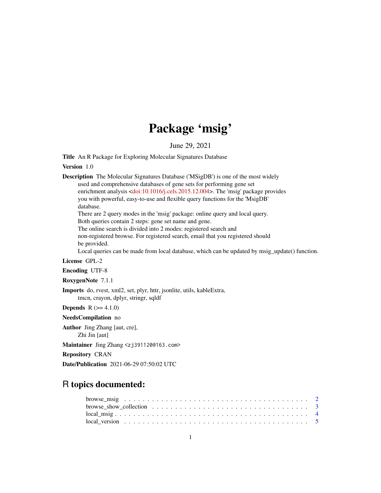# Package 'msig'

June 29, 2021

Title An R Package for Exploring Molecular Signatures Database

Version 1.0

Description The Molecular Signatures Database ('MSigDB') is one of the most widely used and comprehensive databases of gene sets for performing gene set enrichment analysis [<doi:10.1016/j.cels.2015.12.004>](https://doi.org/10.1016/j.cels.2015.12.004). The 'msig' package provides you with powerful, easy-to-use and flexible query functions for the 'MsigDB' database. There are 2 query modes in the 'msig' package: online query and local query. Both queries contain 2 steps: gene set name and gene. The online search is divided into 2 modes: registered search and non-registered browse. For registered search, email that you registered should be provided. Local queries can be made from local database, which can be updated by msig\_update() function. License GPL-2 Encoding UTF-8 RoxygenNote 7.1.1 Imports do, rvest, xml2, set, plyr, httr, jsonlite, utils, kableExtra, tmcn, crayon, dplyr, stringr, sqldf **Depends**  $R (= 4.1.0)$ NeedsCompilation no Author Jing Zhang [aut, cre], Zhi Jin [aut]

Maintainer Jing Zhang <zj391120@163.com>

Repository CRAN

Date/Publication 2021-06-29 07:50:02 UTC

# R topics documented:

| local version $\ldots \ldots \ldots \ldots \ldots \ldots \ldots \ldots \ldots \ldots \ldots \ldots \ldots$ |  |
|------------------------------------------------------------------------------------------------------------|--|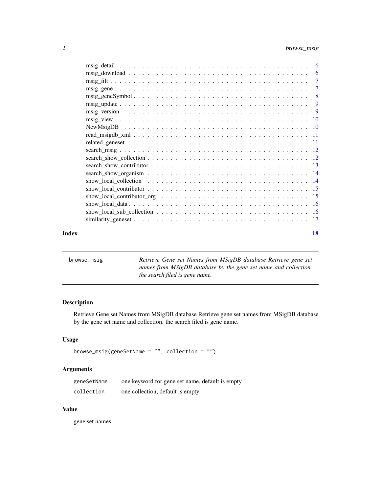<span id="page-1-0"></span>

|                                                                                                             |  | -6             |
|-------------------------------------------------------------------------------------------------------------|--|----------------|
|                                                                                                             |  | 6              |
|                                                                                                             |  | 7              |
|                                                                                                             |  | $\overline{7}$ |
|                                                                                                             |  | 8              |
|                                                                                                             |  | 9              |
|                                                                                                             |  | -9             |
|                                                                                                             |  |                |
|                                                                                                             |  |                |
|                                                                                                             |  |                |
|                                                                                                             |  |                |
|                                                                                                             |  |                |
|                                                                                                             |  |                |
|                                                                                                             |  |                |
|                                                                                                             |  |                |
| show_local_collection $\ldots \ldots \ldots \ldots \ldots \ldots \ldots \ldots \ldots \ldots \ldots \ldots$ |  |                |
|                                                                                                             |  |                |
|                                                                                                             |  |                |
|                                                                                                             |  |                |
|                                                                                                             |  |                |
|                                                                                                             |  |                |
|                                                                                                             |  |                |

#### **Index** 2008 **[18](#page-17-0)**

| browse_msig | Retrieve Gene set Names from MSigDB database Retrieve gene set  |
|-------------|-----------------------------------------------------------------|
|             | names from MSigDB database by the gene set name and collection. |
|             | the search filed is gene name.                                  |

# Description

Retrieve Gene set Names from MSigDB database Retrieve gene set names from MSigDB database by the gene set name and collection. the search filed is gene name.

# Usage

```
browse_msig(geneSetName = "", collection = "")
```
# Arguments

| geneSetName | one keyword for gene set name, default is empty |
|-------------|-------------------------------------------------|
| collection  | one collection, default is empty                |

#### Value

gene set names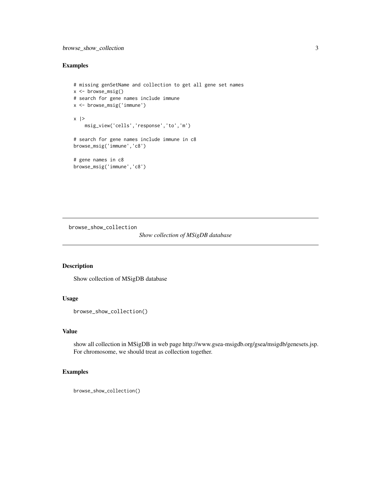#### <span id="page-2-0"></span>Examples

```
# missing genSetName and collection to get all gene set names
x \leftarrow browse_msig()
# search for gene names include immune
x <- browse_msig('immune')
x |>
    msig_view('cells','response','to','m')
# search for gene names include immune in c8
browse_msig('immune','c8')
# gene names in c8
browse_msig('immune','c8')
```
browse\_show\_collection

#### *Show collection of MSigDB database*

# Description

Show collection of MSigDB database

#### Usage

```
browse_show_collection()
```
#### Value

show all collection in MSigDB in web page http://www.gsea-msigdb.org/gsea/msigdb/genesets.jsp. For chromosome, we should treat as collection together.

```
browse_show_collection()
```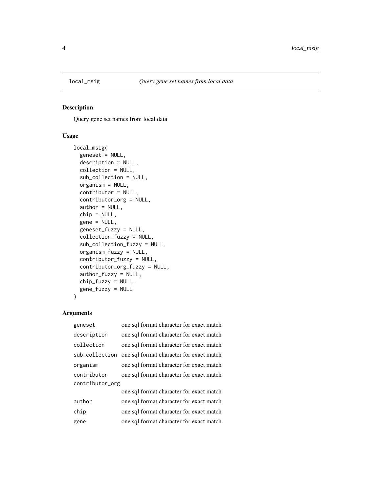<span id="page-3-0"></span>

Query gene set names from local data

# Usage

```
local_msig(
  geneset = NULL,
  description = NULL,
 collection = NULL,
  sub_collection = NULL,
 organism = NULL,
  contributor = NULL,
  contributor_org = NULL,
  author = NULL,
  chip = NULL,gene = NULL,
 geneset_fuzzy = NULL,
 collection_fuzzy = NULL,
  sub_collection_fuzzy = NULL,
 organism_fuzzy = NULL,
  contributor_fuzzy = NULL,
  contributor_org_fuzzy = NULL,
  author_fuzzy = NULL,
 chip_fuzzy = NULL,
  gene_fuzzy = NULL
)
```
# Arguments

| geneset         | one sql format character for exact match |
|-----------------|------------------------------------------|
| description     | one sql format character for exact match |
| collection      | one sql format character for exact match |
| sub_collection  | one sql format character for exact match |
| organism        | one sql format character for exact match |
| contributor     | one sql format character for exact match |
| contributor_org |                                          |
|                 | one sql format character for exact match |
| author          | one sql format character for exact match |
| chip            | one sql format character for exact match |
| gene            | one sql format character for exact match |
|                 |                                          |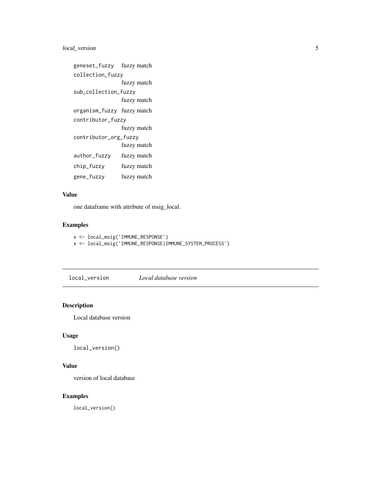# <span id="page-4-0"></span>local\_version 5

```
geneset_fuzzy fuzzy match
collection_fuzzy
               fuzzy match
sub_collection_fuzzy
               fuzzy match
organism_fuzzy fuzzy match
contributor_fuzzy
               fuzzy match
contributor_org_fuzzy
               fuzzy match
author_fuzzy fuzzy match
chip_fuzzy fuzzy match
gene_fuzzy fuzzy match
```
# Value

one dataframe with attribute of msig\_local.

# Examples

```
x <- local_msig('IMMUNE_RESPONSE')
x <- local_msig('IMMUNE_RESPONSE|IMMUNE_SYSTEM_PROCESS')
```
local\_version *Local database version*

# Description

Local database version

# Usage

local\_version()

#### Value

version of local database

#### Examples

local\_version()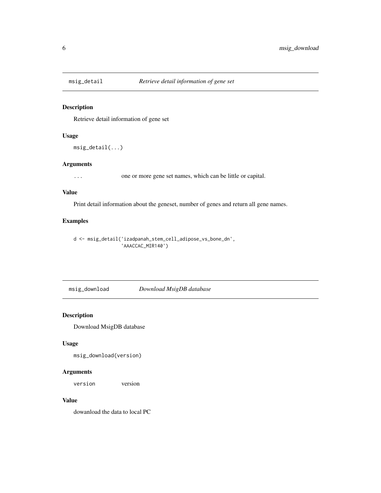<span id="page-5-0"></span>

Retrieve detail information of gene set

#### Usage

```
msig_detail(...)
```
#### Arguments

... one or more gene set names, which can be little or capital.

#### Value

Print detail information about the geneset, number of genes and return all gene names.

# Examples

```
d <- msig_detail('izadpanah_stem_cell_adipose_vs_bone_dn',
                 'AAACCAC_MIR140')
```
msig\_download *Download MsigDB database*

#### Description

Download MsigDB database

#### Usage

msig\_download(version)

# Arguments

version version

# Value

dowanload the data to local PC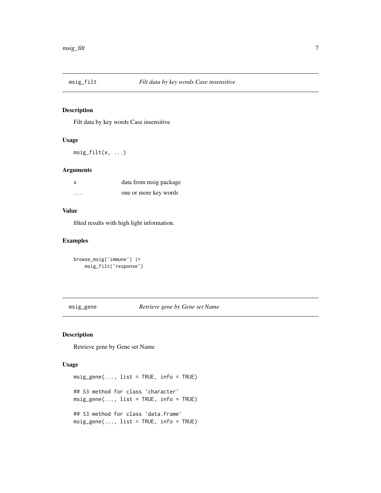<span id="page-6-0"></span>

Filt data by key words Case insensitive

# Usage

 $msig_filt(x, \ldots)$ 

# Arguments

| x | data from msig package |
|---|------------------------|
| . | one or more key words  |

#### Value

filted results with high light information.

#### Examples

```
browse_msig('immune') |>
   msig_filt('response')
```
msig\_gene *Retrieve gene by Gene set Name*

# Description

Retrieve gene by Gene set Name

#### Usage

```
msig\_gene(..., list = TRUE, info = TRUE)## S3 method for class 'character'
msig\_gene(..., list = TRUE, info = TRUE)## S3 method for class 'data.frame'
msig\_gene(..., list = TRUE, info = TRUE)
```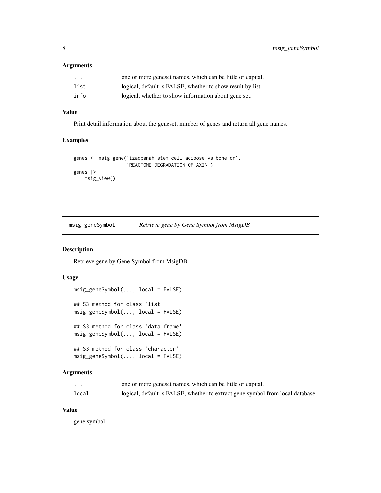#### <span id="page-7-0"></span>Arguments

| $\cdot$ $\cdot$ $\cdot$ | one or more geneset names, which can be little or capital. |
|-------------------------|------------------------------------------------------------|
| list                    | logical, default is FALSE, whether to show result by list. |
| info                    | logical, whether to show information about gene set.       |

#### Value

Print detail information about the geneset, number of genes and return all gene names.

# Examples

```
genes <- msig_gene('izadpanah_stem_cell_adipose_vs_bone_dn',
                  'REACTOME_DEGRADATION_OF_AXIN')
genes |>
   msig_view()
```

| msig_geneSymbol | Retrieve gene by Gene Symbol from MsigDB |  |  |
|-----------------|------------------------------------------|--|--|
|                 |                                          |  |  |

# Description

Retrieve gene by Gene Symbol from MsigDB

# Usage

```
msig_geneSymbol(..., local = FALSE)
## S3 method for class 'list'
msig_geneSymbol(..., local = FALSE)
## S3 method for class 'data.frame'
msig_geneSymbol(..., local = FALSE)
## S3 method for class 'character'
msig_geneSymbol(..., local = FALSE)
```
# Arguments

| .     | one or more geneset names, which can be little or capital.                    |
|-------|-------------------------------------------------------------------------------|
| local | logical, default is FALSE, whether to extract gene symbol from local database |

#### Value

gene symbol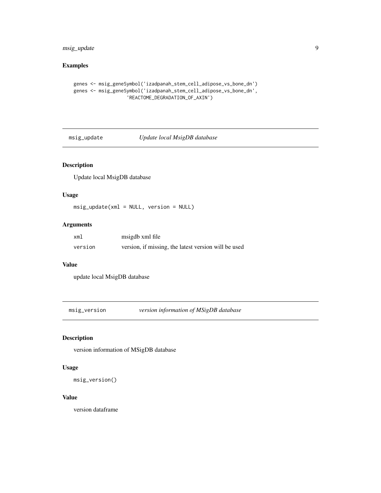# <span id="page-8-0"></span>msig\_update 9

# Examples

```
genes <- msig_geneSymbol('izadpanah_stem_cell_adipose_vs_bone_dn')
genes <- msig_geneSymbol('izadpanah_stem_cell_adipose_vs_bone_dn',
                   'REACTOME_DEGRADATION_OF_AXIN')
```
msig\_update *Update local MsigDB database*

# Description

Update local MsigDB database

# Usage

msig\_update(xml = NULL, version = NULL)

#### Arguments

| xml     | msigdb xml file                                      |
|---------|------------------------------------------------------|
| version | version, if missing, the latest version will be used |

#### Value

update local MsigDB database

msig\_version *version information of MSigDB database*

# Description

version information of MSigDB database

#### Usage

```
msig_version()
```
#### Value

version dataframe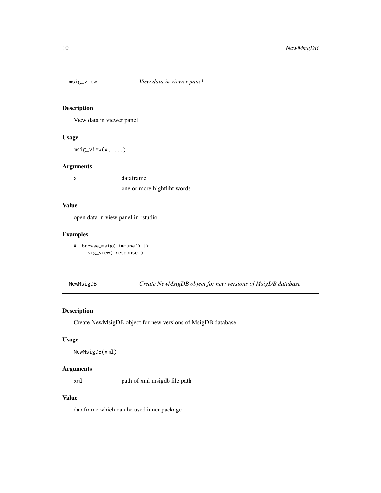<span id="page-9-0"></span>

View data in viewer panel

#### Usage

msig\_view(x, ...)

# Arguments

| X        | dataframe                   |
|----------|-----------------------------|
| $\cdots$ | one or more hightliht words |

#### Value

open data in view panel in rstudio

#### Examples

```
#' browse_msig('immune') |>
   msig_view('response')
```
NewMsigDB *Create NewMsigDB object for new versions of MsigDB database*

# Description

Create NewMsigDB object for new versions of MsigDB database

#### Usage

```
NewMsigDB(xml)
```
# Arguments

xml path of xml msigdb file path

#### Value

dataframe which can be used inner package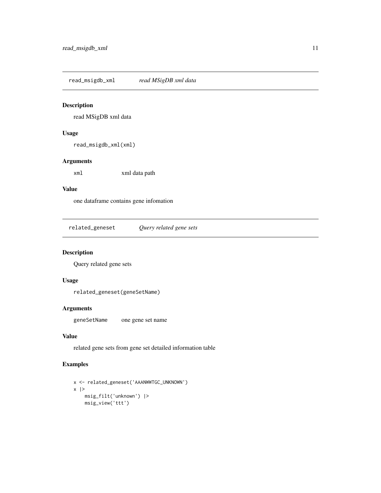<span id="page-10-0"></span>read\_msigdb\_xml *read MSigDB xml data*

# Description

read MSigDB xml data

# Usage

read\_msigdb\_xml(xml)

#### Arguments

xml xml data path

# Value

one dataframe contains gene infomation

related\_geneset *Query related gene sets*

# Description

Query related gene sets

# Usage

related\_geneset(geneSetName)

# Arguments

geneSetName one gene set name

#### Value

related gene sets from gene set detailed information table

```
x <- related_geneset('AAANWWTGC_UNKNOWN')
x |>
   msig_filt('unknown') |>
   msig_view('ttt')
```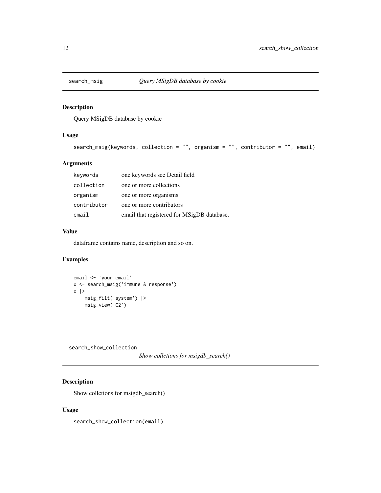<span id="page-11-0"></span>

Query MSigDB database by cookie

# Usage

```
search_msig(keywords, collection = "", organism = "", contributor = "", email)
```
# Arguments

| keywords    | one keywords see Detail field              |
|-------------|--------------------------------------------|
| collection  | one or more collections                    |
| organism    | one or more organisms                      |
| contributor | one or more contributors                   |
| email       | email that registered for MSigDB database. |

#### Value

dataframe contains name, description and so on.

# Examples

```
email <- 'your email'
x <- search_msig('immune & response')
x |>
   msig_filt('system') |>
   msig_view('C2')
```
search\_show\_collection

*Show collctions for msigdb\_search()*

# Description

Show collctions for msigdb\_search()

# Usage

search\_show\_collection(email)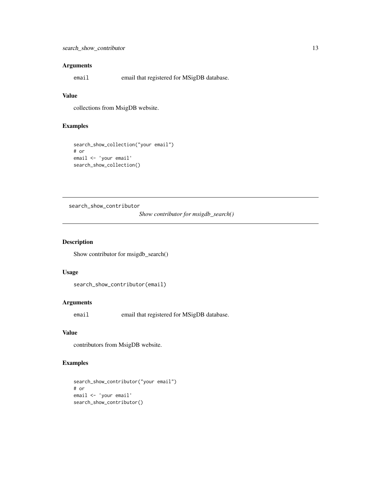#### <span id="page-12-0"></span>Arguments

email email that registered for MSigDB database.

#### Value

collections from MsigDB website.

# Examples

```
search_show_collection("your email")
# or
email <- 'your email'
search_show_collection()
```
search\_show\_contributor

*Show contributor for msigdb\_search()*

# Description

Show contributor for msigdb\_search()

#### Usage

```
search_show_contributor(email)
```
# Arguments

email email that registered for MSigDB database.

# Value

contributors from MsigDB website.

```
search_show_contributor("your email")
# or
email <- 'your email'
search_show_contributor()
```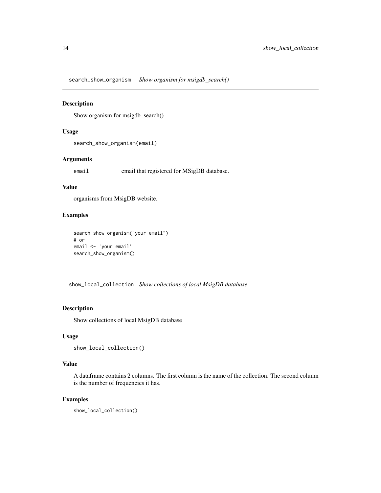<span id="page-13-0"></span>search\_show\_organism *Show organism for msigdb\_search()*

#### Description

Show organism for msigdb\_search()

#### Usage

search\_show\_organism(email)

#### Arguments

email email that registered for MSigDB database.

#### Value

organisms from MsigDB website.

# Examples

```
search_show_organism("your email")
# or
email <- 'your email'
search_show_organism()
```
show\_local\_collection *Show collections of local MsigDB database*

# Description

Show collections of local MsigDB database

#### Usage

```
show_local_collection()
```
#### Value

A dataframe contains 2 columns. The first column is the name of the collection. The second column is the number of frequencies it has.

#### Examples

show\_local\_collection()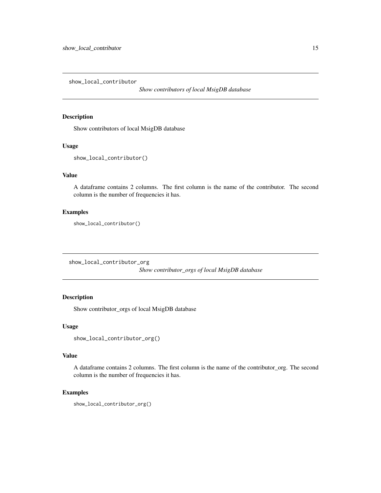<span id="page-14-0"></span>show\_local\_contributor

*Show contributors of local MsigDB database*

#### Description

Show contributors of local MsigDB database

#### Usage

show\_local\_contributor()

# Value

A dataframe contains 2 columns. The first column is the name of the contributor. The second column is the number of frequencies it has.

# Examples

show\_local\_contributor()

show\_local\_contributor\_org

*Show contributor\_orgs of local MsigDB database*

# Description

Show contributor\_orgs of local MsigDB database

#### Usage

```
show_local_contributor_org()
```
#### Value

A dataframe contains 2 columns. The first column is the name of the contributor\_org. The second column is the number of frequencies it has.

#### Examples

show\_local\_contributor\_org()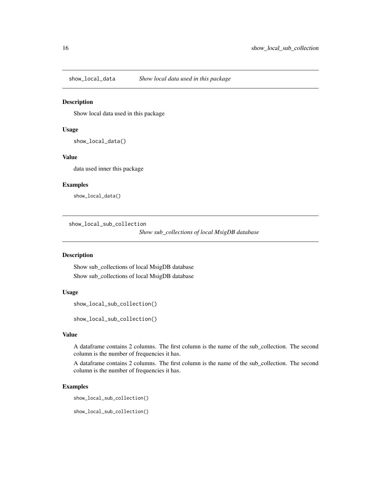<span id="page-15-0"></span>

Show local data used in this package

#### Usage

show\_local\_data()

#### Value

data used inner this package

# Examples

show\_local\_data()

show\_local\_sub\_collection

*Show sub\_collections of local MsigDB database*

#### Description

Show sub\_collections of local MsigDB database Show sub\_collections of local MsigDB database

#### Usage

```
show_local_sub_collection()
```
show\_local\_sub\_collection()

# Value

A dataframe contains 2 columns. The first column is the name of the sub\_collection. The second column is the number of frequencies it has.

A dataframe contains 2 columns. The first column is the name of the sub\_collection. The second column is the number of frequencies it has.

#### Examples

show\_local\_sub\_collection()

show\_local\_sub\_collection()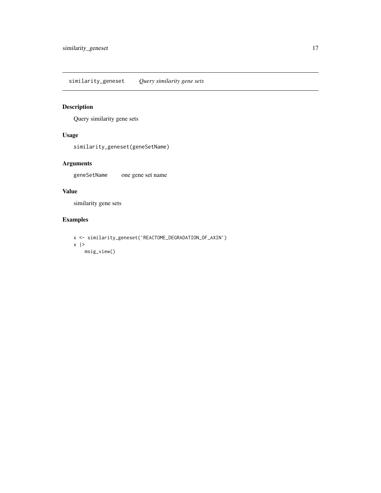<span id="page-16-0"></span>similarity\_geneset *Query similarity gene sets*

# Description

Query similarity gene sets

# Usage

similarity\_geneset(geneSetName)

# Arguments

geneSetName one gene set name

# Value

similarity gene sets

```
x <- similarity_geneset('REACTOME_DEGRADATION_OF_AXIN')
x |>
   msig_view()
```